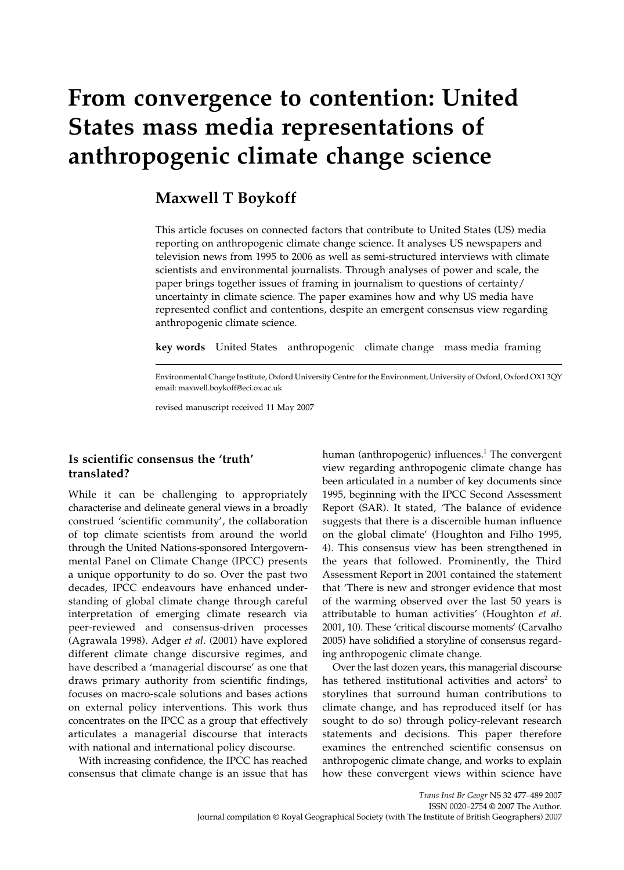# From convergence to contention: United **States mass media representations of anthropogenic climate change science**

# **Maxwell T Boykoff**

This article focuses on connected factors that contribute to United States (US) media reporting on anthropogenic climate change science. It analyses US newspapers and television news from 1995 to 2006 as well as semi-structured interviews with climate scientists and environmental journalists. Through analyses of power and scale, the paper brings together issues of framing in journalism to questions of certainty/ uncertainty in climate science. The paper examines how and why US media have represented conflict and contentions, despite an emergent consensus view regarding anthropogenic climate science.

**key words** United States anthropogenic climate change mass media framing

Environmental Change Institute, Oxford University Centre for the Environment, University of Oxford, Oxford OX1 3QY email: maxwell.boykoff@eci.ox.ac.uk

revised manuscript received 11 May 2007

## **Is scientific consensus the 'truth' translated?**

While it can be challenging to appropriately characterise and delineate general views in a broadly construed 'scientific community', the collaboration of top climate scientists from around the world through the United Nations-sponsored Intergovernmental Panel on Climate Change (IPCC) presents a unique opportunity to do so. Over the past two decades, IPCC endeavours have enhanced understanding of global climate change through careful interpretation of emerging climate research via peer-reviewed and consensus-driven processes (Agrawala 1998). Adger *et al.* (2001) have explored different climate change discursive regimes, and have described a 'managerial discourse' as one that draws primary authority from scientific findings, focuses on macro-scale solutions and bases actions on external policy interventions. This work thus concentrates on the IPCC as a group that effectively articulates a managerial discourse that interacts with national and international policy discourse.

With increasing confidence, the IPCC has reached consensus that climate change is an issue that has human (anthropogenic) influences.<sup>1</sup> The convergent view regarding anthropogenic climate change has been articulated in a number of key documents since 1995, beginning with the IPCC Second Assessment Report (SAR). It stated, 'The balance of evidence suggests that there is a discernible human influence on the global climate' (Houghton and Filho 1995, 4). This consensus view has been strengthened in the years that followed. Prominently, the Third Assessment Report in 2001 contained the statement that 'There is new and stronger evidence that most of the warming observed over the last 50 years is attributable to human activities' (Houghton *et al.* 2001, 10). These 'critical discourse moments' (Carvalho 2005) have solidified a storyline of consensus regarding anthropogenic climate change.

Over the last dozen years, this managerial discourse has tethered institutional activities and  $\arccos^2$  to storylines that surround human contributions to climate change, and has reproduced itself (or has sought to do so) through policy-relevant research statements and decisions. This paper therefore examines the entrenched scientific consensus on anthropogenic climate change, and works to explain how these convergent views within science have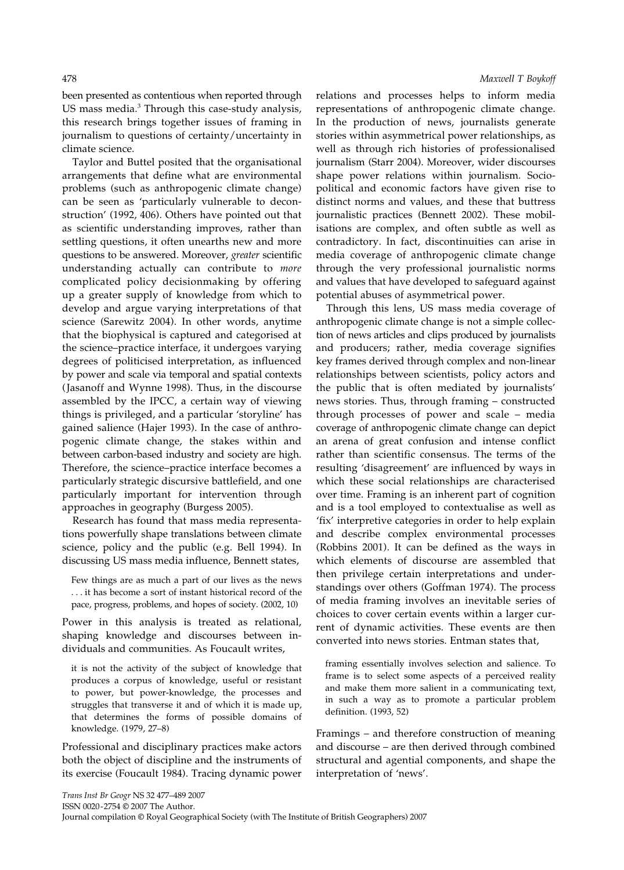been presented as contentious when reported through US mass media.<sup>3</sup> Through this case-study analysis, this research brings together issues of framing in journalism to questions of certainty/uncertainty in climate science.

Taylor and Buttel posited that the organisational arrangements that define what are environmental problems (such as anthropogenic climate change) can be seen as 'particularly vulnerable to deconstruction' (1992, 406). Others have pointed out that as scientific understanding improves, rather than settling questions, it often unearths new and more questions to be answered. Moreover, *greater* scientific understanding actually can contribute to *more* complicated policy decisionmaking by offering up a greater supply of knowledge from which to develop and argue varying interpretations of that science (Sarewitz 2004). In other words, anytime that the biophysical is captured and categorised at the science–practice interface, it undergoes varying degrees of politicised interpretation, as influenced by power and scale via temporal and spatial contexts (Jasanoff and Wynne 1998). Thus, in the discourse assembled by the IPCC, a certain way of viewing things is privileged, and a particular 'storyline' has gained salience (Hajer 1993). In the case of anthropogenic climate change, the stakes within and between carbon-based industry and society are high. Therefore, the science–practice interface becomes a particularly strategic discursive battlefield, and one particularly important for intervention through approaches in geography (Burgess 2005).

Research has found that mass media representations powerfully shape translations between climate science, policy and the public (e.g. Bell 1994). In discussing US mass media influence, Bennett states,

Few things are as much a part of our lives as the news . . . it has become a sort of instant historical record of the pace, progress, problems, and hopes of society. (2002, 10)

Power in this analysis is treated as relational, shaping knowledge and discourses between individuals and communities. As Foucault writes,

it is not the activity of the subject of knowledge that produces a corpus of knowledge, useful or resistant to power, but power-knowledge, the processes and struggles that transverse it and of which it is made up, that determines the forms of possible domains of knowledge. (1979, 27–8)

Professional and disciplinary practices make actors both the object of discipline and the instruments of its exercise (Foucault 1984). Tracing dynamic power relations and processes helps to inform media representations of anthropogenic climate change. In the production of news, journalists generate stories within asymmetrical power relationships, as well as through rich histories of professionalised journalism (Starr 2004). Moreover, wider discourses shape power relations within journalism. Sociopolitical and economic factors have given rise to distinct norms and values, and these that buttress journalistic practices (Bennett 2002). These mobilisations are complex, and often subtle as well as contradictory. In fact, discontinuities can arise in media coverage of anthropogenic climate change through the very professional journalistic norms and values that have developed to safeguard against potential abuses of asymmetrical power.

Through this lens, US mass media coverage of anthropogenic climate change is not a simple collection of news articles and clips produced by journalists and producers; rather, media coverage signifies key frames derived through complex and non-linear relationships between scientists, policy actors and the public that is often mediated by journalists' news stories. Thus, through framing – constructed through processes of power and scale – media coverage of anthropogenic climate change can depict an arena of great confusion and intense conflict rather than scientific consensus. The terms of the resulting 'disagreement' are influenced by ways in which these social relationships are characterised over time. Framing is an inherent part of cognition and is a tool employed to contextualise as well as 'fix' interpretive categories in order to help explain and describe complex environmental processes (Robbins 2001). It can be defined as the ways in which elements of discourse are assembled that then privilege certain interpretations and understandings over others (Goffman 1974). The process of media framing involves an inevitable series of choices to cover certain events within a larger current of dynamic activities. These events are then converted into news stories. Entman states that,

framing essentially involves selection and salience. To frame is to select some aspects of a perceived reality and make them more salient in a communicating text, in such a way as to promote a particular problem definition. (1993, 52)

Framings – and therefore construction of meaning and discourse – are then derived through combined structural and agential components, and shape the interpretation of 'news'.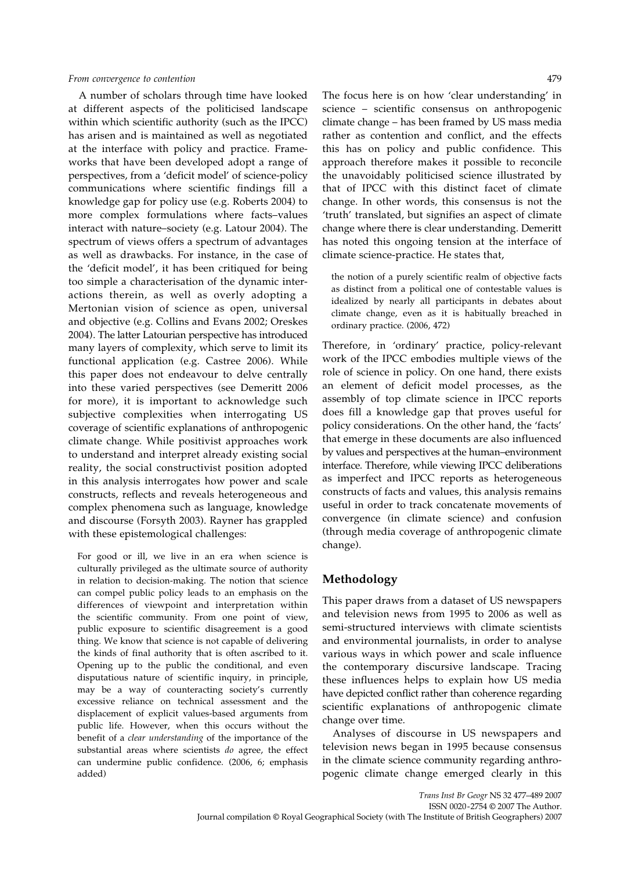A number of scholars through time have looked at different aspects of the politicised landscape within which scientific authority (such as the IPCC) has arisen and is maintained as well as negotiated at the interface with policy and practice. Frameworks that have been developed adopt a range of perspectives, from a 'deficit model' of science-policy communications where scientific findings fill a knowledge gap for policy use (e.g. Roberts 2004) to more complex formulations where facts–values interact with nature–society (e.g. Latour 2004). The spectrum of views offers a spectrum of advantages as well as drawbacks. For instance, in the case of the 'deficit model', it has been critiqued for being too simple a characterisation of the dynamic interactions therein, as well as overly adopting a Mertonian vision of science as open, universal and objective (e.g. Collins and Evans 2002; Oreskes 2004). The latter Latourian perspective has introduced many layers of complexity, which serve to limit its functional application (e.g. Castree 2006). While this paper does not endeavour to delve centrally into these varied perspectives (see Demeritt 2006 for more), it is important to acknowledge such subjective complexities when interrogating US coverage of scientific explanations of anthropogenic climate change. While positivist approaches work to understand and interpret already existing social reality, the social constructivist position adopted in this analysis interrogates how power and scale constructs, reflects and reveals heterogeneous and complex phenomena such as language, knowledge and discourse (Forsyth 2003). Rayner has grappled with these epistemological challenges:

For good or ill, we live in an era when science is culturally privileged as the ultimate source of authority in relation to decision-making. The notion that science can compel public policy leads to an emphasis on the differences of viewpoint and interpretation within the scientific community. From one point of view, public exposure to scientific disagreement is a good thing. We know that science is not capable of delivering the kinds of final authority that is often ascribed to it. Opening up to the public the conditional, and even disputatious nature of scientific inquiry, in principle, may be a way of counteracting society's currently excessive reliance on technical assessment and the displacement of explicit values-based arguments from public life. However, when this occurs without the benefit of a *clear understanding* of the importance of the substantial areas where scientists *do* agree, the effect can undermine public confidence. (2006, 6; emphasis added)

The focus here is on how 'clear understanding' in science – scientific consensus on anthropogenic climate change – has been framed by US mass media rather as contention and conflict, and the effects this has on policy and public confidence. This approach therefore makes it possible to reconcile the unavoidably politicised science illustrated by that of IPCC with this distinct facet of climate change. In other words, this consensus is not the 'truth' translated, but signifies an aspect of climate change where there is clear understanding. Demeritt has noted this ongoing tension at the interface of

the notion of a purely scientific realm of objective facts as distinct from a political one of contestable values is idealized by nearly all participants in debates about climate change, even as it is habitually breached in ordinary practice. (2006, 472)

climate science-practice. He states that,

Therefore, in 'ordinary' practice, policy-relevant work of the IPCC embodies multiple views of the role of science in policy. On one hand, there exists an element of deficit model processes, as the assembly of top climate science in IPCC reports does fill a knowledge gap that proves useful for policy considerations. On the other hand, the 'facts' that emerge in these documents are also influenced by values and perspectives at the human–environment interface. Therefore, while viewing IPCC deliberations as imperfect and IPCC reports as heterogeneous constructs of facts and values, this analysis remains useful in order to track concatenate movements of convergence (in climate science) and confusion (through media coverage of anthropogenic climate change).

#### **Methodology**

This paper draws from a dataset of US newspapers and television news from 1995 to 2006 as well as semi-structured interviews with climate scientists and environmental journalists, in order to analyse various ways in which power and scale influence the contemporary discursive landscape. Tracing these influences helps to explain how US media have depicted conflict rather than coherence regarding scientific explanations of anthropogenic climate change over time.

Analyses of discourse in US newspapers and television news began in 1995 because consensus in the climate science community regarding anthropogenic climate change emerged clearly in this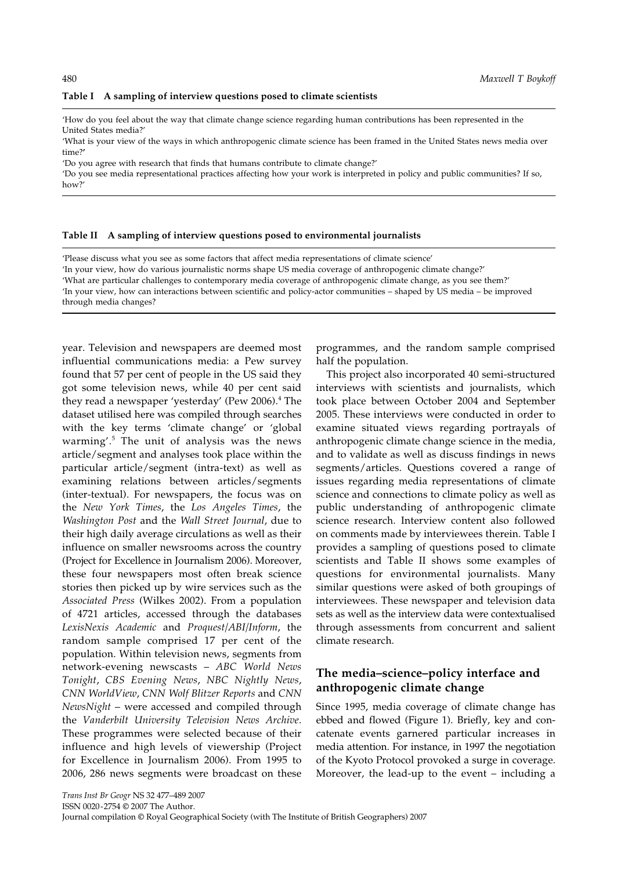#### **Table I A sampling of interview questions posed to climate scientists**

'How do you feel about the way that climate change science regarding human contributions has been represented in the United States media?'

'What is your view of the ways in which anthropogenic climate science has been framed in the United States news media over time?**'**

'Do you agree with research that finds that humans contribute to climate change?'

'Do you see media representational practices affecting how your work is interpreted in policy and public communities? If so, how?'

#### **Table II A sampling of interview questions posed to environmental journalists**

'Please discuss what you see as some factors that affect media representations of climate science' 'In your view, how do various journalistic norms shape US media coverage of anthropogenic climate change?' 'What are particular challenges to contemporary media coverage of anthropogenic climate change, as you see them?' 'In your view, how can interactions between scientific and policy-actor communities – shaped by US media – be improved through media changes?

year. Television and newspapers are deemed most influential communications media: a Pew survey found that 57 per cent of people in the US said they got some television news, while 40 per cent said they read a newspaper 'yesterday' (Pew 2006).<sup>4</sup> The dataset utilised here was compiled through searches with the key terms 'climate change' or 'global warming'. $5$  The unit of analysis was the news article/segment and analyses took place within the particular article/segment (intra-text) as well as examining relations between articles/segments (inter-textual). For newspapers, the focus was on the *New York Times*, the *Los Angeles Times*, the *Washington Post* and the *Wall Street Journal*, due to their high daily average circulations as well as their influence on smaller newsrooms across the country (Project for Excellence in Journalism 2006). Moreover, these four newspapers most often break science stories then picked up by wire services such as the *Associated Press* (Wilkes 2002). From a population of 4721 articles, accessed through the databases *LexisNexis Academic* and *Proquest/ABI/Inform*, the random sample comprised 17 per cent of the population. Within television news, segments from network-evening newscasts – *ABC World News Tonight*, *CBS Evening News*, *NBC Nightly News*, *CNN WorldView*, *CNN Wolf Blitzer Reports* and *CNN NewsNight* – were accessed and compiled through the *Vanderbilt University Television News Archive*. These programmes were selected because of their influence and high levels of viewership (Project for Excellence in Journalism 2006). From 1995 to 2006, 286 news segments were broadcast on these

programmes, and the random sample comprised half the population.

This project also incorporated 40 semi-structured interviews with scientists and journalists, which took place between October 2004 and September 2005. These interviews were conducted in order to examine situated views regarding portrayals of anthropogenic climate change science in the media, and to validate as well as discuss findings in news segments/articles. Questions covered a range of issues regarding media representations of climate science and connections to climate policy as well as public understanding of anthropogenic climate science research. Interview content also followed on comments made by interviewees therein. Table I provides a sampling of questions posed to climate scientists and Table II shows some examples of questions for environmental journalists. Many similar questions were asked of both groupings of interviewees. These newspaper and television data sets as well as the interview data were contextualised through assessments from concurrent and salient climate research.

### **The media–science–policy interface and anthropogenic climate change**

Since 1995, media coverage of climate change has ebbed and flowed (Figure 1). Briefly, key and concatenate events garnered particular increases in media attention. For instance, in 1997 the negotiation of the Kyoto Protocol provoked a surge in coverage. Moreover, the lead-up to the event – including a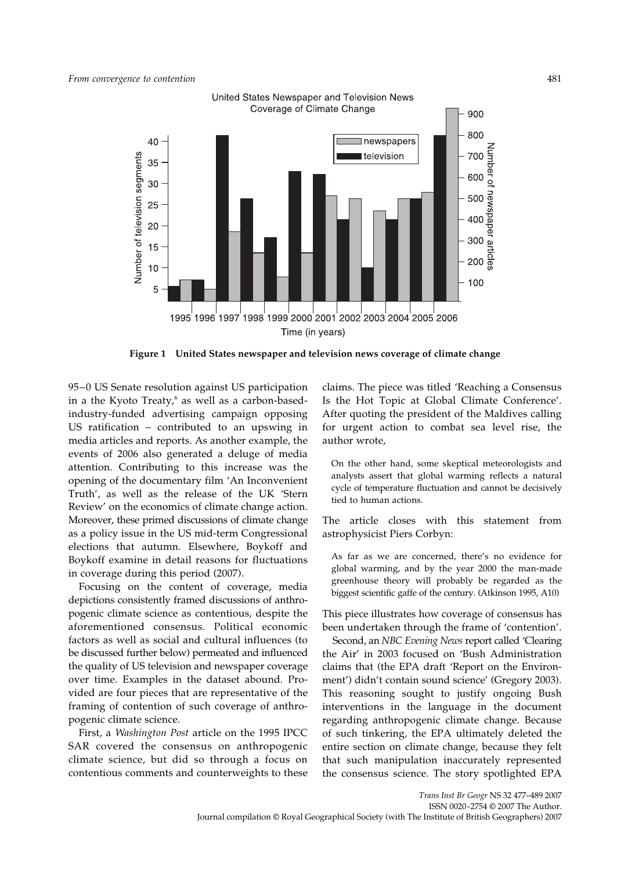

#### United States Newspaper and Television News Coverage of Climate Change

**Figure 1 United States newspaper and television news coverage of climate change**

95–0 US Senate resolution against US participation in a the Kyoto Treaty,<sup>6</sup> as well as a carbon-basedindustry-funded advertising campaign opposing US ratification – contributed to an upswing in media articles and reports. As another example, the events of 2006 also generated a deluge of media attention. Contributing to this increase was the opening of the documentary film 'An Inconvenient Truth', as well as the release of the UK 'Stern Review' on the economics of climate change action. Moreover, these primed discussions of climate change as a policy issue in the US mid-term Congressional elections that autumn. Elsewhere, Boykoff and Boykoff examine in detail reasons for fluctuations in coverage during this period (2007).

Focusing on the content of coverage, media depictions consistently framed discussions of anthropogenic climate science as contentious, despite the aforementioned consensus. Political economic factors as well as social and cultural influences (to be discussed further below) permeated and influenced the quality of US television and newspaper coverage over time. Examples in the dataset abound. Provided are four pieces that are representative of the framing of contention of such coverage of anthropogenic climate science.

First, a *Washington Post* article on the 1995 IPCC SAR covered the consensus on anthropogenic climate science, but did so through a focus on contentious comments and counterweights to these claims. The piece was titled 'Reaching a Consensus Is the Hot Topic at Global Climate Conference'. After quoting the president of the Maldives calling for urgent action to combat sea level rise, the author wrote,

On the other hand, some skeptical meteorologists and analysts assert that global warming reflects a natural cycle of temperature fluctuation and cannot be decisively tied to human actions.

The article closes with this statement from astrophysicist Piers Corbyn:

As far as we are concerned, there's no evidence for global warming, and by the year 2000 the man-made greenhouse theory will probably be regarded as the biggest scientific gaffe of the century. (Atkinson 1995, A10)

This piece illustrates how coverage of consensus has been undertaken through the frame of 'contention'.

Second, an *NBC Evening News* report called 'Clearing the Air' in 2003 focused on 'Bush Administration claims that (the EPA draft 'Report on the Environment') didn't contain sound science' (Gregory 2003). This reasoning sought to justify ongoing Bush interventions in the language in the document regarding anthropogenic climate change. Because of such tinkering, the EPA ultimately deleted the entire section on climate change, because they felt that such manipulation inaccurately represented the consensus science. The story spotlighted EPA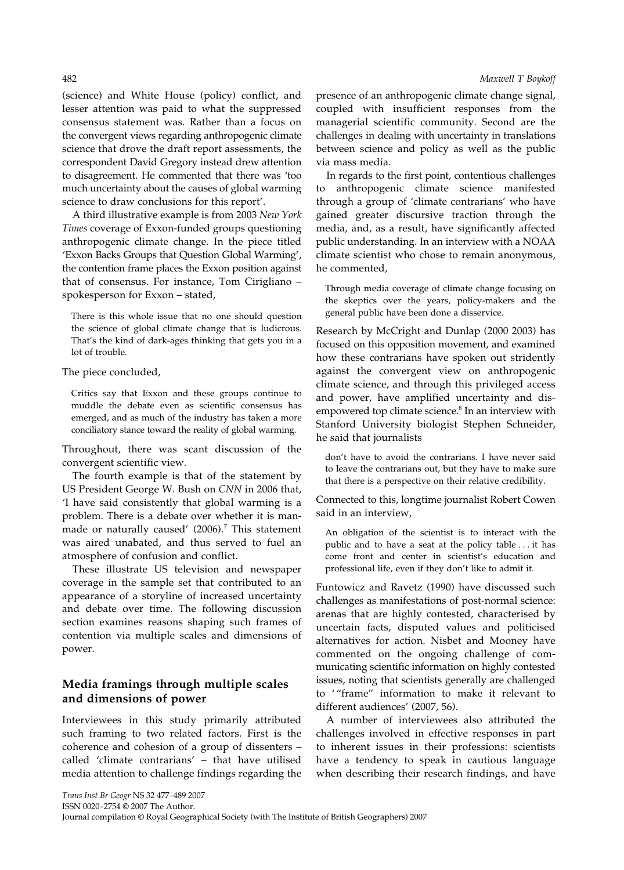(science) and White House (policy) conflict, and lesser attention was paid to what the suppressed consensus statement was. Rather than a focus on the convergent views regarding anthropogenic climate science that drove the draft report assessments, the correspondent David Gregory instead drew attention to disagreement. He commented that there was 'too much uncertainty about the causes of global warming science to draw conclusions for this report'.

A third illustrative example is from 2003 *New York Times* coverage of Exxon-funded groups questioning anthropogenic climate change. In the piece titled 'Exxon Backs Groups that Question Global Warming', the contention frame places the Exxon position against that of consensus. For instance, Tom Cirigliano – spokesperson for Exxon – stated,

There is this whole issue that no one should question the science of global climate change that is ludicrous. That's the kind of dark-ages thinking that gets you in a lot of trouble.

The piece concluded,

Critics say that Exxon and these groups continue to muddle the debate even as scientific consensus has emerged, and as much of the industry has taken a more conciliatory stance toward the reality of global warming.

Throughout, there was scant discussion of the convergent scientific view.

The fourth example is that of the statement by US President George W. Bush on *CNN* in 2006 that, 'I have said consistently that global warming is a problem. There is a debate over whether it is manmade or naturally caused'  $(2006).$ <sup>7</sup> This statement was aired unabated, and thus served to fuel an atmosphere of confusion and conflict.

These illustrate US television and newspaper coverage in the sample set that contributed to an appearance of a storyline of increased uncertainty and debate over time. The following discussion section examines reasons shaping such frames of contention via multiple scales and dimensions of power.

#### **Media framings through multiple scales and dimensions of power**

Interviewees in this study primarily attributed such framing to two related factors. First is the coherence and cohesion of a group of dissenters – called 'climate contrarians' – that have utilised media attention to challenge findings regarding the

#### 482 *Maxwell T Boykoff*

presence of an anthropogenic climate change signal, coupled with insufficient responses from the managerial scientific community. Second are the challenges in dealing with uncertainty in translations between science and policy as well as the public via mass media.

In regards to the first point, contentious challenges to anthropogenic climate science manifested through a group of 'climate contrarians' who have gained greater discursive traction through the media, and, as a result, have significantly affected public understanding. In an interview with a NOAA climate scientist who chose to remain anonymous, he commented,

Through media coverage of climate change focusing on the skeptics over the years, policy-makers and the general public have been done a disservice.

Research by McCright and Dunlap (2000 2003) has focused on this opposition movement, and examined how these contrarians have spoken out stridently against the convergent view on anthropogenic climate science, and through this privileged access and power, have amplified uncertainty and disempowered top climate science.<sup>8</sup> In an interview with Stanford University biologist Stephen Schneider, he said that journalists

don't have to avoid the contrarians. I have never said to leave the contrarians out, but they have to make sure that there is a perspective on their relative credibility.

Connected to this, longtime journalist Robert Cowen said in an interview,

An obligation of the scientist is to interact with the public and to have a seat at the policy table . . . it has come front and center in scientist's education and professional life, even if they don't like to admit it.

Funtowicz and Ravetz (1990) have discussed such challenges as manifestations of post-normal science: arenas that are highly contested, characterised by uncertain facts, disputed values and politicised alternatives for action. Nisbet and Mooney have commented on the ongoing challenge of communicating scientific information on highly contested issues, noting that scientists generally are challenged to ' "frame" information to make it relevant to different audiences' (2007, 56).

A number of interviewees also attributed the challenges involved in effective responses in part to inherent issues in their professions: scientists have a tendency to speak in cautious language when describing their research findings, and have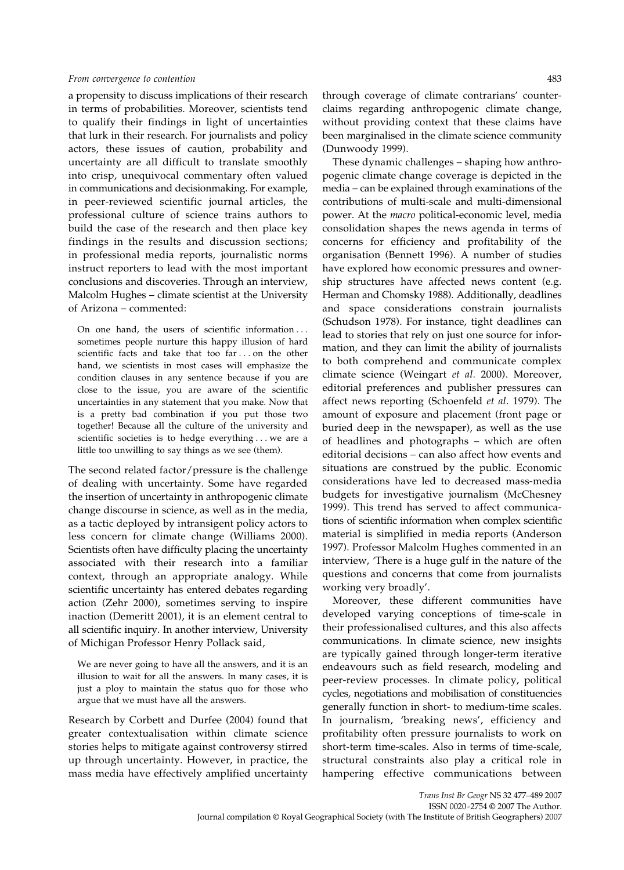a propensity to discuss implications of their research in terms of probabilities. Moreover, scientists tend to qualify their findings in light of uncertainties that lurk in their research. For journalists and policy actors, these issues of caution, probability and uncertainty are all difficult to translate smoothly into crisp, unequivocal commentary often valued in communications and decisionmaking. For example, in peer-reviewed scientific journal articles, the professional culture of science trains authors to build the case of the research and then place key findings in the results and discussion sections; in professional media reports, journalistic norms instruct reporters to lead with the most important conclusions and discoveries. Through an interview, Malcolm Hughes – climate scientist at the University of Arizona – commented:

On one hand, the users of scientific information . . . sometimes people nurture this happy illusion of hard scientific facts and take that too far . . . on the other hand, we scientists in most cases will emphasize the condition clauses in any sentence because if you are close to the issue, you are aware of the scientific uncertainties in any statement that you make. Now that is a pretty bad combination if you put those two together! Because all the culture of the university and scientific societies is to hedge everything . . . we are a little too unwilling to say things as we see (them).

The second related factor/pressure is the challenge of dealing with uncertainty. Some have regarded the insertion of uncertainty in anthropogenic climate change discourse in science, as well as in the media, as a tactic deployed by intransigent policy actors to less concern for climate change (Williams 2000). Scientists often have difficulty placing the uncertainty associated with their research into a familiar context, through an appropriate analogy. While scientific uncertainty has entered debates regarding action (Zehr 2000), sometimes serving to inspire inaction (Demeritt 2001), it is an element central to all scientific inquiry. In another interview, University of Michigan Professor Henry Pollack said,

We are never going to have all the answers, and it is an illusion to wait for all the answers. In many cases, it is just a ploy to maintain the status quo for those who argue that we must have all the answers.

Research by Corbett and Durfee (2004) found that greater contextualisation within climate science stories helps to mitigate against controversy stirred up through uncertainty. However, in practice, the mass media have effectively amplified uncertainty through coverage of climate contrarians' counterclaims regarding anthropogenic climate change, without providing context that these claims have been marginalised in the climate science community (Dunwoody 1999).

These dynamic challenges – shaping how anthropogenic climate change coverage is depicted in the media – can be explained through examinations of the contributions of multi-scale and multi-dimensional power. At the *macro* political-economic level, media consolidation shapes the news agenda in terms of concerns for efficiency and profitability of the organisation (Bennett 1996). A number of studies have explored how economic pressures and ownership structures have affected news content (e.g. Herman and Chomsky 1988). Additionally, deadlines and space considerations constrain journalists (Schudson 1978). For instance, tight deadlines can lead to stories that rely on just one source for information, and they can limit the ability of journalists to both comprehend and communicate complex climate science (Weingart *et al.* 2000). Moreover, editorial preferences and publisher pressures can affect news reporting (Schoenfeld *et al.* 1979). The amount of exposure and placement (front page or buried deep in the newspaper), as well as the use of headlines and photographs – which are often editorial decisions – can also affect how events and situations are construed by the public. Economic considerations have led to decreased mass-media budgets for investigative journalism (McChesney 1999). This trend has served to affect communications of scientific information when complex scientific material is simplified in media reports (Anderson 1997). Professor Malcolm Hughes commented in an interview, 'There is a huge gulf in the nature of the questions and concerns that come from journalists working very broadly'.

Moreover, these different communities have developed varying conceptions of time-scale in their professionalised cultures, and this also affects communications. In climate science, new insights are typically gained through longer-term iterative endeavours such as field research, modeling and peer-review processes. In climate policy, political cycles, negotiations and mobilisation of constituencies generally function in short- to medium-time scales. In journalism, 'breaking news', efficiency and profitability often pressure journalists to work on short-term time-scales. Also in terms of time-scale, structural constraints also play a critical role in hampering effective communications between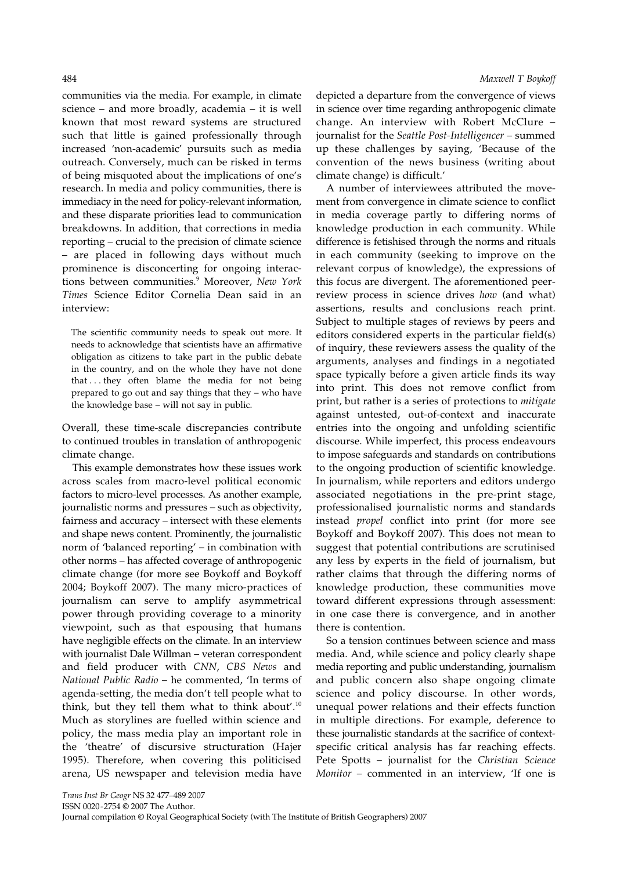communities via the media. For example, in climate science – and more broadly, academia – it is well known that most reward systems are structured such that little is gained professionally through increased 'non-academic' pursuits such as media outreach. Conversely, much can be risked in terms of being misquoted about the implications of one's research. In media and policy communities, there is immediacy in the need for policy-relevant information, and these disparate priorities lead to communication breakdowns. In addition, that corrections in media reporting – crucial to the precision of climate science – are placed in following days without much prominence is disconcerting for ongoing interactions between communities.<sup>9</sup> Moreover, *New York Times* Science Editor Cornelia Dean said in an interview:

The scientific community needs to speak out more. It needs to acknowledge that scientists have an affirmative obligation as citizens to take part in the public debate in the country, and on the whole they have not done that . . . they often blame the media for not being prepared to go out and say things that they – who have the knowledge base – will not say in public.

Overall, these time-scale discrepancies contribute to continued troubles in translation of anthropogenic climate change.

This example demonstrates how these issues work across scales from macro-level political economic factors to micro-level processes. As another example, journalistic norms and pressures – such as objectivity, fairness and accuracy – intersect with these elements and shape news content. Prominently, the journalistic norm of 'balanced reporting' – in combination with other norms – has affected coverage of anthropogenic climate change (for more see Boykoff and Boykoff 2004; Boykoff 2007). The many micro-practices of journalism can serve to amplify asymmetrical power through providing coverage to a minority viewpoint, such as that espousing that humans have negligible effects on the climate. In an interview with journalist Dale Willman – veteran correspondent and field producer with *CNN*, *CBS News* and *National Public Radio* – he commented, 'In terms of agenda-setting, the media don't tell people what to think, but they tell them what to think about'. $^{10}$ Much as storylines are fuelled within science and policy, the mass media play an important role in the 'theatre' of discursive structuration (Hajer 1995). Therefore, when covering this politicised arena, US newspaper and television media have

depicted a departure from the convergence of views in science over time regarding anthropogenic climate change. An interview with Robert McClure – journalist for the *Seattle Post-Intelligencer* – summed up these challenges by saying, 'Because of the convention of the news business (writing about climate change) is difficult.'

A number of interviewees attributed the movement from convergence in climate science to conflict in media coverage partly to differing norms of knowledge production in each community. While difference is fetishised through the norms and rituals in each community (seeking to improve on the relevant corpus of knowledge), the expressions of this focus are divergent. The aforementioned peerreview process in science drives *how* (and what) assertions, results and conclusions reach print. Subject to multiple stages of reviews by peers and editors considered experts in the particular field(s) of inquiry, these reviewers assess the quality of the arguments, analyses and findings in a negotiated space typically before a given article finds its way into print. This does not remove conflict from print, but rather is a series of protections to *mitigate* against untested, out-of-context and inaccurate entries into the ongoing and unfolding scientific discourse. While imperfect, this process endeavours to impose safeguards and standards on contributions to the ongoing production of scientific knowledge. In journalism, while reporters and editors undergo associated negotiations in the pre-print stage, professionalised journalistic norms and standards instead *propel* conflict into print (for more see Boykoff and Boykoff 2007). This does not mean to suggest that potential contributions are scrutinised any less by experts in the field of journalism, but rather claims that through the differing norms of knowledge production, these communities move toward different expressions through assessment: in one case there is convergence, and in another there is contention.

So a tension continues between science and mass media. And, while science and policy clearly shape media reporting and public understanding, journalism and public concern also shape ongoing climate science and policy discourse. In other words, unequal power relations and their effects function in multiple directions. For example, deference to these journalistic standards at the sacrifice of contextspecific critical analysis has far reaching effects. Pete Spotts – journalist for the *Christian Science Monitor* – commented in an interview, 'If one is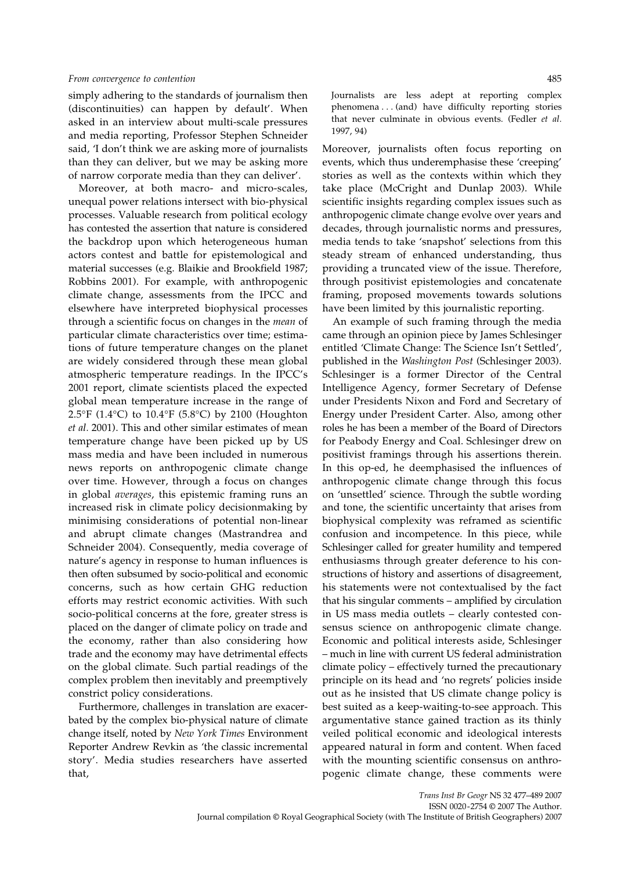simply adhering to the standards of journalism then (discontinuities) can happen by default'. When asked in an interview about multi-scale pressures and media reporting, Professor Stephen Schneider said, 'I don't think we are asking more of journalists than they can deliver, but we may be asking more of narrow corporate media than they can deliver'.

Moreover, at both macro- and micro-scales, unequal power relations intersect with bio-physical processes. Valuable research from political ecology has contested the assertion that nature is considered the backdrop upon which heterogeneous human actors contest and battle for epistemological and material successes (e.g. Blaikie and Brookfield 1987; Robbins 2001). For example, with anthropogenic climate change, assessments from the IPCC and elsewhere have interpreted biophysical processes through a scientific focus on changes in the *mean* of particular climate characteristics over time; estimations of future temperature changes on the planet are widely considered through these mean global atmospheric temperature readings. In the IPCC's 2001 report, climate scientists placed the expected global mean temperature increase in the range of 2.5°F (1.4°C) to 10.4°F (5.8°C) by 2100 (Houghton *et al.* 2001). This and other similar estimates of mean temperature change have been picked up by US mass media and have been included in numerous news reports on anthropogenic climate change over time. However, through a focus on changes in global *averages*, this epistemic framing runs an increased risk in climate policy decisionmaking by minimising considerations of potential non-linear and abrupt climate changes (Mastrandrea and Schneider 2004). Consequently, media coverage of nature's agency in response to human influences is then often subsumed by socio-political and economic concerns, such as how certain GHG reduction efforts may restrict economic activities. With such socio-political concerns at the fore, greater stress is placed on the danger of climate policy on trade and the economy, rather than also considering how trade and the economy may have detrimental effects on the global climate. Such partial readings of the complex problem then inevitably and preemptively constrict policy considerations.

Furthermore, challenges in translation are exacerbated by the complex bio-physical nature of climate change itself, noted by *New York Times* Environment Reporter Andrew Revkin as 'the classic incremental story'. Media studies researchers have asserted that,

Journalists are less adept at reporting complex phenomena . . . (and) have difficulty reporting stories that never culminate in obvious events. (Fedler *et al.* 1997, 94)

Moreover, journalists often focus reporting on events, which thus underemphasise these 'creeping' stories as well as the contexts within which they take place (McCright and Dunlap 2003). While scientific insights regarding complex issues such as anthropogenic climate change evolve over years and decades, through journalistic norms and pressures, media tends to take 'snapshot' selections from this steady stream of enhanced understanding, thus providing a truncated view of the issue. Therefore, through positivist epistemologies and concatenate framing, proposed movements towards solutions have been limited by this journalistic reporting.

An example of such framing through the media came through an opinion piece by James Schlesinger entitled 'Climate Change: The Science Isn't Settled', published in the *Washington Post* (Schlesinger 2003). Schlesinger is a former Director of the Central Intelligence Agency, former Secretary of Defense under Presidents Nixon and Ford and Secretary of Energy under President Carter. Also, among other roles he has been a member of the Board of Directors for Peabody Energy and Coal. Schlesinger drew on positivist framings through his assertions therein. In this op-ed, he deemphasised the influences of anthropogenic climate change through this focus on 'unsettled' science. Through the subtle wording and tone, the scientific uncertainty that arises from biophysical complexity was reframed as scientific confusion and incompetence. In this piece, while Schlesinger called for greater humility and tempered enthusiasms through greater deference to his constructions of history and assertions of disagreement, his statements were not contextualised by the fact that his singular comments – amplified by circulation in US mass media outlets – clearly contested consensus science on anthropogenic climate change. Economic and political interests aside, Schlesinger – much in line with current US federal administration climate policy – effectively turned the precautionary principle on its head and 'no regrets' policies inside out as he insisted that US climate change policy is best suited as a keep-waiting-to-see approach. This argumentative stance gained traction as its thinly veiled political economic and ideological interests appeared natural in form and content. When faced with the mounting scientific consensus on anthropogenic climate change, these comments were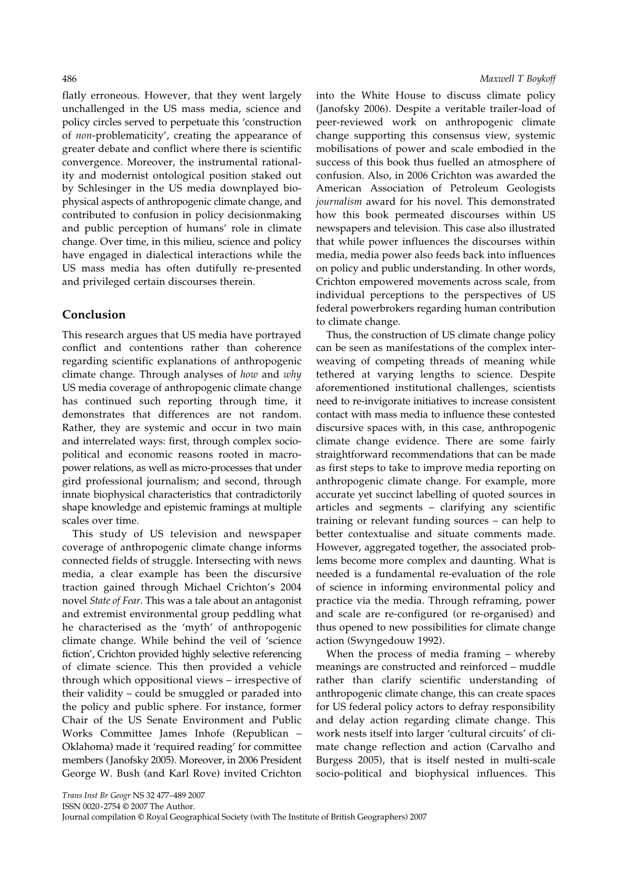flatly erroneous. However, that they went largely unchallenged in the US mass media, science and policy circles served to perpetuate this 'construction of *non*-problematicity', creating the appearance of greater debate and conflict where there is scientific convergence. Moreover, the instrumental rationality and modernist ontological position staked out by Schlesinger in the US media downplayed biophysical aspects of anthropogenic climate change, and contributed to confusion in policy decisionmaking and public perception of humans' role in climate change. Over time, in this milieu, science and policy have engaged in dialectical interactions while the US mass media has often dutifully re-presented and privileged certain discourses therein.

#### **Conclusion**

This research argues that US media have portrayed conflict and contentions rather than coherence regarding scientific explanations of anthropogenic climate change. Through analyses of *how* and *why* US media coverage of anthropogenic climate change has continued such reporting through time, it demonstrates that differences are not random. Rather, they are systemic and occur in two main and interrelated ways: first, through complex sociopolitical and economic reasons rooted in macropower relations, as well as micro-processes that under gird professional journalism; and second, through innate biophysical characteristics that contradictorily shape knowledge and epistemic framings at multiple scales over time.

This study of US television and newspaper coverage of anthropogenic climate change informs connected fields of struggle. Intersecting with news media, a clear example has been the discursive traction gained through Michael Crichton's 2004 novel *State of Fear*. This was a tale about an antagonist and extremist environmental group peddling what he characterised as the 'myth' of anthropogenic climate change. While behind the veil of 'science fiction', Crichton provided highly selective referencing of climate science. This then provided a vehicle through which oppositional views – irrespective of their validity – could be smuggled or paraded into the policy and public sphere. For instance, former Chair of the US Senate Environment and Public Works Committee James Inhofe (Republican – Oklahoma) made it 'required reading' for committee members (Janofsky 2005). Moreover, in 2006 President George W. Bush (and Karl Rove) invited Crichton

into the White House to discuss climate policy (Janofsky 2006). Despite a veritable trailer-load of peer-reviewed work on anthropogenic climate change supporting this consensus view, systemic mobilisations of power and scale embodied in the success of this book thus fuelled an atmosphere of confusion. Also, in 2006 Crichton was awarded the American Association of Petroleum Geologists *journalism* award for his novel. This demonstrated how this book permeated discourses within US newspapers and television. This case also illustrated that while power influences the discourses within media, media power also feeds back into influences on policy and public understanding. In other words, Crichton empowered movements across scale, from individual perceptions to the perspectives of US federal powerbrokers regarding human contribution to climate change.

Thus, the construction of US climate change policy can be seen as manifestations of the complex interweaving of competing threads of meaning while tethered at varying lengths to science. Despite aforementioned institutional challenges, scientists need to re-invigorate initiatives to increase consistent contact with mass media to influence these contested discursive spaces with, in this case, anthropogenic climate change evidence. There are some fairly straightforward recommendations that can be made as first steps to take to improve media reporting on anthropogenic climate change. For example, more accurate yet succinct labelling of quoted sources in articles and segments – clarifying any scientific training or relevant funding sources – can help to better contextualise and situate comments made. However, aggregated together, the associated problems become more complex and daunting. What is needed is a fundamental re-evaluation of the role of science in informing environmental policy and practice via the media. Through reframing, power and scale are re-configured (or re-organised) and thus opened to new possibilities for climate change action (Swyngedouw 1992).

When the process of media framing – whereby meanings are constructed and reinforced – muddle rather than clarify scientific understanding of anthropogenic climate change, this can create spaces for US federal policy actors to defray responsibility and delay action regarding climate change. This work nests itself into larger 'cultural circuits' of climate change reflection and action (Carvalho and Burgess 2005), that is itself nested in multi-scale socio-political and biophysical influences. This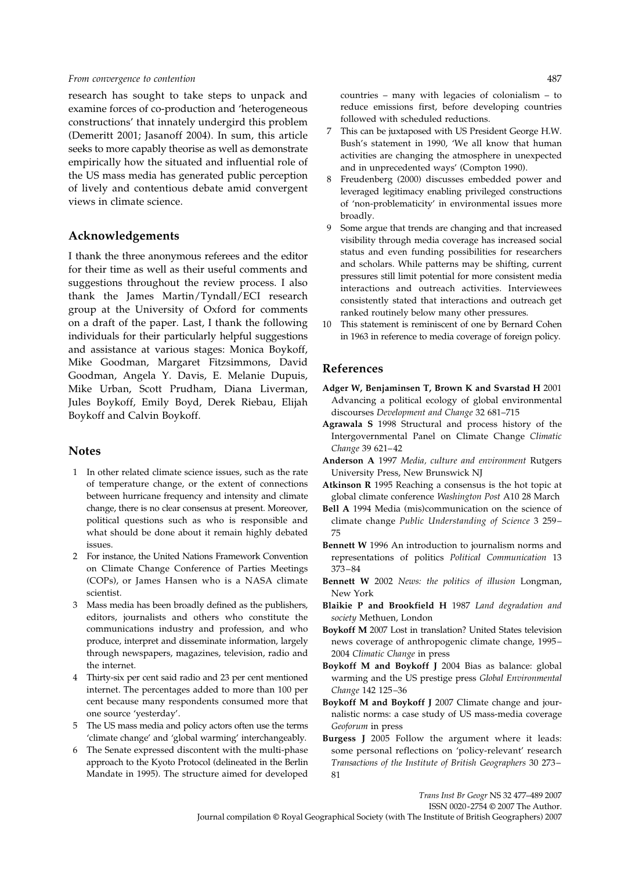research has sought to take steps to unpack and examine forces of co-production and 'heterogeneous constructions' that innately undergird this problem (Demeritt 2001; Jasanoff 2004). In sum, this article seeks to more capably theorise as well as demonstrate empirically how the situated and influential role of the US mass media has generated public perception of lively and contentious debate amid convergent views in climate science.

#### **Acknowledgements**

I thank the three anonymous referees and the editor for their time as well as their useful comments and suggestions throughout the review process. I also thank the James Martin/Tyndall/ECI research group at the University of Oxford for comments on a draft of the paper. Last, I thank the following individuals for their particularly helpful suggestions and assistance at various stages: Monica Boykoff, Mike Goodman, Margaret Fitzsimmons, David Goodman, Angela Y. Davis, E. Melanie Dupuis, Mike Urban, Scott Prudham, Diana Liverman, Jules Boykoff, Emily Boyd, Derek Riebau, Elijah Boykoff and Calvin Boykoff.

#### **Notes**

- 1 In other related climate science issues, such as the rate of temperature change, or the extent of connections between hurricane frequency and intensity and climate change, there is no clear consensus at present. Moreover, political questions such as who is responsible and what should be done about it remain highly debated issues.
- 2 For instance, the United Nations Framework Convention on Climate Change Conference of Parties Meetings (COPs), or James Hansen who is a NASA climate scientist.
- 3 Mass media has been broadly defined as the publishers, editors, journalists and others who constitute the communications industry and profession, and who produce, interpret and disseminate information, largely through newspapers, magazines, television, radio and the internet.
- 4 Thirty-six per cent said radio and 23 per cent mentioned internet. The percentages added to more than 100 per cent because many respondents consumed more that one source 'yesterday'.
- 5 The US mass media and policy actors often use the terms 'climate change' and 'global warming' interchangeably.
- 6 The Senate expressed discontent with the multi-phase approach to the Kyoto Protocol (delineated in the Berlin Mandate in 1995). The structure aimed for developed

countries – many with legacies of colonialism – to reduce emissions first, before developing countries followed with scheduled reductions.

- 7 This can be juxtaposed with US President George H.W. Bush's statement in 1990, 'We all know that human activities are changing the atmosphere in unexpected and in unprecedented ways' (Compton 1990).
- 8 Freudenberg (2000) discusses embedded power and leveraged legitimacy enabling privileged constructions of 'non-problematicity' in environmental issues more broadly.
- 9 Some argue that trends are changing and that increased visibility through media coverage has increased social status and even funding possibilities for researchers and scholars. While patterns may be shifting, current pressures still limit potential for more consistent media interactions and outreach activities. Interviewees consistently stated that interactions and outreach get ranked routinely below many other pressures.
- 10 This statement is reminiscent of one by Bernard Cohen in 1963 in reference to media coverage of foreign policy.

#### **References**

- **Adger W, Benjaminsen T, Brown K and Svarstad H** 2001 Advancing a political ecology of global environmental discourses *Development and Change* 32 681–715
- **Agrawala S** 1998 Structural and process history of the Intergovernmental Panel on Climate Change *Climatic Change* 39 621–42
- **Anderson A** 1997 *Media, culture and environment* Rutgers University Press, New Brunswick NJ
- **Atkinson R** 1995 Reaching a consensus is the hot topic at global climate conference *Washington Post* A10 28 March
- **Bell A** 1994 Media (mis)communication on the science of climate change *Public Understanding of Science* 3 259– 75
- **Bennett W** 1996 An introduction to journalism norms and representations of politics *Political Communication* 13 373–84
- **Bennett W** 2002 *News: the politics of illusion* Longman, New York
- **Blaikie P and Brookfield H** 1987 *Land degradation and society* Methuen, London
- **Boykoff M** 2007 Lost in translation? United States television news coverage of anthropogenic climate change, 1995– 2004 *Climatic Change* in press
- **Boykoff M and Boykoff J** 2004 Bias as balance: global warming and the US prestige press *Global Environmental Change* 142 125–36
- **Boykoff M and Boykoff J** 2007 Climate change and journalistic norms: a case study of US mass-media coverage *Geoforum* in press
- **Burgess J** 2005 Follow the argument where it leads: some personal reflections on 'policy-relevant' research *Transactions of the Institute of British Geographers* 30 273– 81

*Trans Inst Br Geogr* NS 32 477–489 2007 ISSN 0020-2754 © 2007 The Author. Journal compilation © Royal Geographical Society (with The Institute of British Geographers) 2007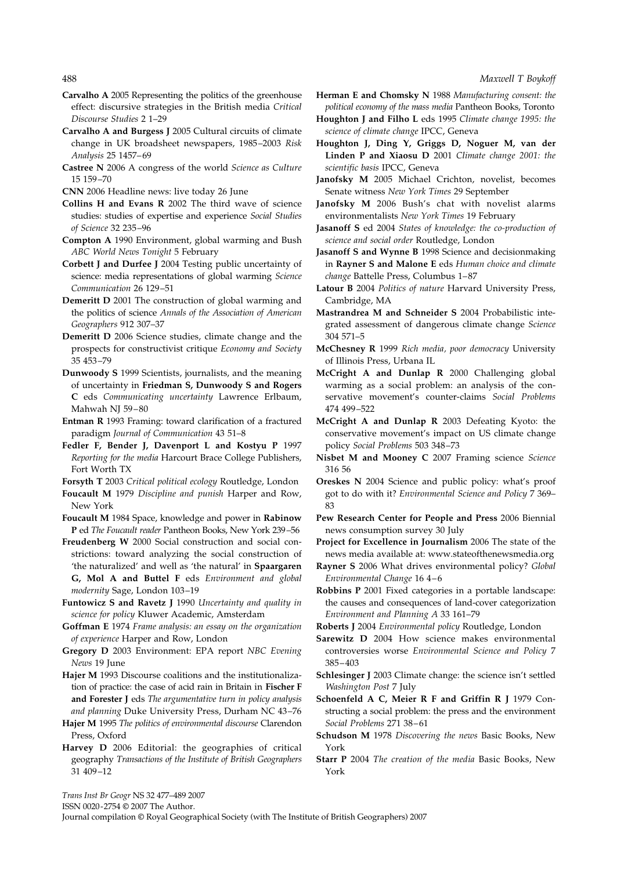488 *Maxwell T Boykoff*

- **Carvalho A** 2005 Representing the politics of the greenhouse effect: discursive strategies in the British media *Critical Discourse Studies* 2 1–29
- **Carvalho A and Burgess J** 2005 Cultural circuits of climate change in UK broadsheet newspapers, 1985–2003 *Risk Analysis* 25 1457–69
- **Castree N** 2006 A congress of the world *Science as Culture* 15 159–70

**CNN** 2006 Headline news: live today 26 June

- **Collins H and Evans R** 2002 The third wave of science studies: studies of expertise and experience *Social Studies of Science* 32 235–96
- **Compton A** 1990 Environment, global warming and Bush *ABC World News Tonight* 5 February
- **Corbett J and Durfee J** 2004 Testing public uncertainty of science: media representations of global warming *Science Communication* 26 129–51
- **Demeritt D** 2001 The construction of global warming and the politics of science *Annals of the Association of American Geographers* 912 307–37
- **Demeritt D** 2006 Science studies, climate change and the prospects for constructivist critique *Economy and Society* 35 453–79
- **Dunwoody S** 1999 Scientists, journalists, and the meaning of uncertainty in **Friedman S, Dunwoody S and Rogers C** eds *Communicating uncertainty* Lawrence Erlbaum, Mahwah NJ 59–80
- **Entman R** 1993 Framing: toward clarification of a fractured paradigm *Journal of Communication* 43 51–8
- **Fedler F, Bender J, Davenport L and Kostyu P** 1997 *Reporting for the media* Harcourt Brace College Publishers, Fort Worth TX
- **Forsyth T** 2003 *Critical political ecology* Routledge, London
- **Foucault M** 1979 *Discipline and punish* Harper and Row, New York
- **Foucault M** 1984 Space, knowledge and power in **Rabinow P** ed *The Foucault reader* Pantheon Books, New York 239–56
- **Freudenberg W** 2000 Social construction and social constrictions: toward analyzing the social construction of 'the naturalized' and well as 'the natural' in **Spaargaren G, Mol A and Buttel F** eds *Environment and global modernity* Sage, London 103–19
- **Funtowicz S and Ravetz J** 1990 *Uncertainty and quality in science for policy* Kluwer Academic, Amsterdam
- **Goffman E** 1974 *Frame analysis: an essay on the organization of experience* Harper and Row, London
- **Gregory D** 2003 Environment: EPA report *NBC Evening News* 19 June
- **Hajer M** 1993 Discourse coalitions and the institutionalization of practice: the case of acid rain in Britain in **Fischer F and Forester J** eds *The argumentative turn in policy analysis and planning* Duke University Press, Durham NC 43–76
- **Hajer M** 1995 *The politics of environmental discourse* Clarendon Press, Oxford
- **Harvey D** 2006 Editorial: the geographies of critical geography *Transactions of the Institute of British Geographers* 31 409–12
- **Houghton J and Filho L** eds 1995 *Climate change 1995: the science of climate change* IPCC, Geneva
- **Houghton J, Ding Y, Griggs D, Noguer M, van der Linden P and Xiaosu D** 2001 *Climate change 2001: the scientific basis* IPCC, Geneva
- **Janofsky M** 2005 Michael Crichton, novelist, becomes Senate witness *New York Times* 29 September
- **Janofsky M** 2006 Bush's chat with novelist alarms environmentalists *New York Times* 19 February
- **Jasanoff S** ed 2004 *States of knowledge: the co-production of science and social order* Routledge, London
- **Jasanoff S and Wynne B** 1998 Science and decisionmaking in **Rayner S and Malone E** eds *Human choice and climate change* Battelle Press, Columbus 1–87
- **Latour B** 2004 *Politics of nature* Harvard University Press, Cambridge, MA
- **Mastrandrea M and Schneider S** 2004 Probabilistic integrated assessment of dangerous climate change *Science* 304 571–5
- **McChesney R** 1999 *Rich media, poor democracy* University of Illinois Press, Urbana IL
- **McCright A and Dunlap R** 2000 Challenging global warming as a social problem: an analysis of the conservative movement's counter-claims *Social Problems* 474 499–522
- **McCright A and Dunlap R** 2003 Defeating Kyoto: the conservative movement's impact on US climate change policy *Social Problems* 503 348–73
- **Nisbet M and Mooney C** 2007 Framing science *Science* 316 56
- **Oreskes N** 2004 Science and public policy: what's proof got to do with it? *Environmental Science and Policy* 7 369– 83
- **Pew Research Center for People and Press** 2006 Biennial news consumption survey 30 July

**Project for Excellence in Journalism** 2006 The state of the news media available at: www.stateofthenewsmedia.org

- **Rayner S** 2006 What drives environmental policy? *Global Environmental Change* 16 4–6
- **Robbins P** 2001 Fixed categories in a portable landscape: the causes and consequences of land-cover categorization *Environment and Planning A* 33 161–79

**Roberts J** 2004 *Environmental policy* Routledge, London

- **Sarewitz D** 2004 How science makes environmental controversies worse *Environmental Science and Policy* 7 385–403
- **Schlesinger J** 2003 Climate change: the science isn't settled *Washington Post* 7 July
- **Schoenfeld A C, Meier R F and Griffin R J** 1979 Constructing a social problem: the press and the environment *Social Problems* 271 38–61
- **Schudson M** 1978 *Discovering the news* Basic Books, New York
- **Starr P** 2004 *The creation of the media* Basic Books, New York

*Trans Inst Br Geogr* NS 32 477–489 2007

ISSN 0020-2754 © 2007 The Author.

Journal compilation © Royal Geographical Society (with The Institute of British Geographers) 2007

**Herman E and Chomsky N** 1988 *Manufacturing consent: the political economy of the mass media* Pantheon Books, Toronto